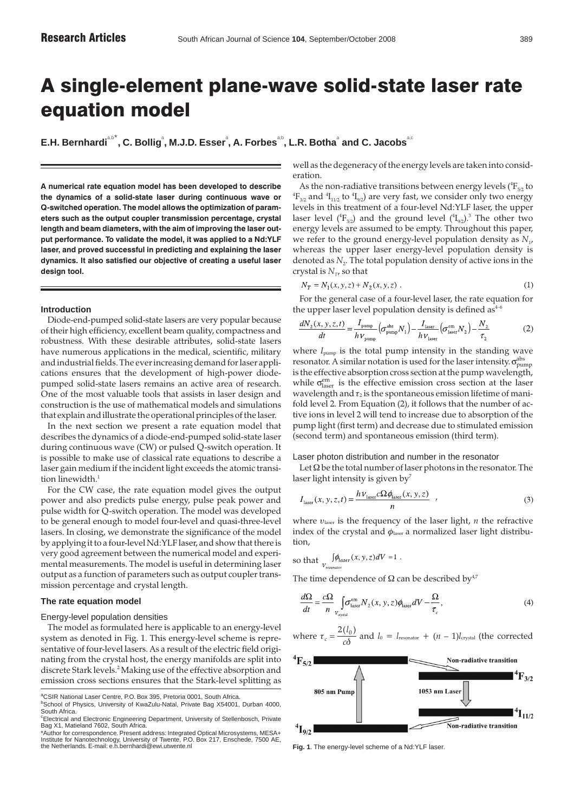# A single-element plane-wave solid-state laser rate equation model

 $\mathsf{E.H.}\ \mathsf{Bernhardi}^{\mathsf{ab}^*}, \mathsf{C.}\ \mathsf{Bollig}^{\mathsf{a}}, \mathsf{M.J.D.}\ \mathsf{Esser}^{\mathsf{a}}, \mathsf{A.}\ \mathsf{Forbes}^{\mathsf{ab}}, \mathsf{L.R.}\ \mathsf{Botha}^{\mathsf{a}}\ \mathsf{and}\ \mathsf{C.}\ \mathsf{Jacobs}^{\mathsf{ac}}$ 

**A numerical rate equation model has been developed to describe the dynamics of a solid-state laser during continuous wave or Q-switched operation. The model allows the optimization of parameters such as the output coupler transmission percentage, crystal length and beam diameters, with the aim of improving the laser output performance. To validate the model, it was applied to a Nd:YLF laser, and proved successful in predicting and explaining the laser dynamics. It also satisfied our objective of creating a useful laser design tool.**

# **Introduction**

Diode-end-pumped solid-state lasers are very popular because of their high efficiency, excellent beam quality, compactness and robustness. With these desirable attributes, solid-state lasers have numerous applications in the medical, scientific, military and industrial fields. The ever increasing demand for laser applications ensures that the development of high-power diodepumped solid-state lasers remains an active area of research. One of the most valuable tools that assists in laser design and construction is the use of mathematical models and simulations that explain and illustrate the operational principles of the laser.

In the next section we present a rate equation model that describes the dynamics of a diode-end-pumped solid-state laser during continuous wave (CW) or pulsed Q-switch operation. It is possible to make use of classical rate equations to describe a laser gain medium if the incident light exceeds the atomic transition linewidth.<sup>1</sup>

For the CW case, the rate equation model gives the output power and also predicts pulse energy, pulse peak power and pulse width for Q-switch operation. The model was developed to be general enough to model four-level and quasi-three-level lasers. In closing, we demonstrate the significance of the model by applying it to a four-level Nd:YLF laser, and show that there is very good agreement between the numerical model and experimental measurements. The model is useful in determining laser output as a function of parameters such as output coupler transmission percentage and crystal length.

# **The rate equation model**

# Energy-level population densities

The model as formulated here is applicable to an energy-level system as denoted in Fig. 1. This energy-level scheme is representative of four-level lasers. As a result of the electric field originating from the crystal host, the energy manifolds are split into discrete Stark levels.<sup>2</sup> Making use of the effective absorption and emission cross sections ensures that the Stark-level splitting as

well as the degeneracy of the energy levels are taken into consideration.

As the non-radiative transitions between energy levels ( ${}^4\mathrm{F}_{52}$  to  ${}^4\mathrm{F}_{3/2}$  and  ${}^4\mathrm{I}_{11/2}$  to  ${}^4\mathrm{I}_{9/2}$ ) are very fast, we consider only two energy levels in this treatment of a four-level Nd:YLF laser, the upper laser level ( ${}^4\mathrm{F}_{3/2}$ ) and the ground level ( ${}^4\mathrm{I}_{9/2}$ ). ${}^3$  The other two energy levels are assumed to be empty. Throughout this paper, we refer to the ground energy-level population density as  $N_{1}$ , whereas the upper laser energy-level population density is denoted as  $N_2$ . The total population density of active ions in the crystal is  $N_{\tau}$ , so that

$$
N_T = N_1(x, y, z) + N_2(x, y, z)
$$
 (1)

For the general case of a four-level laser, the rate equation for the upper laser level population density is defined as $4$ 

$$
\frac{dN_2(x, y, z, t)}{dt} = \frac{I_{\text{pump}}}{hV_{\text{pump}}} \left(\sigma_{\text{pump}}^{\text{abs}} N_1\right) - \frac{I_{\text{laser}}}{hV_{\text{laser}}} \left(\sigma_{\text{laser}}^{\text{em}} N_2\right) - \frac{N_2}{\tau_2}
$$
(2)

where *I*pump is the total pump intensity in the standing wave resonator. A similar notation is used for the laser intensity.  $\sigma_{\mathrm{pump}}^{\mathrm{abs}}$ is the effective absorption cross section at the pump wavelength, while  $\sigma_{\text{laser}}^{\text{em}}$  is the effective emission cross section at the laser wavelength and  $\tau_2$  is the spontaneous emission lifetime of manifold level 2. From Equation (2), it follows that the number of active ions in level 2 will tend to increase due to absorption of the pump light (first term) and decrease due to stimulated emission (second term) and spontaneous emission (third term).

Laser photon distribution and number in the resonator

Let  $\Omega$  be the total number of laser photons in the resonator. The laser light intensity is given by<sup>7</sup>

$$
I_{\text{laser}}(x, y, z, t) = \frac{h V_{\text{laser}} c \Omega \phi_{\text{laser}}(x, y, z)}{n} \tag{3}
$$

where υlaser is the frequency of the laser light, *n* the refractive index of the crystal and  $\phi_{\text{laser}}$  a normalized laser light distribution,

so that 
$$
\int_{V_{resonator}} \oint \phi_{laser}(x, y, z) dV = 1.
$$

The time dependence of  $\Omega$  can be described by<sup>4,7</sup>

$$
\frac{d\Omega}{dt} = \frac{c\Omega}{n} \int_{V_{\text{crystal}}} \sigma_{\text{laser}}^{\text{em}} N_2(x, y, z) \phi_{\text{laser}} dV - \frac{\Omega}{\tau_c},\tag{4}
$$

where 
$$
\tau_c = \frac{2(l_0)}{c\delta}
$$
 and  $l_0 = l_{\text{resonator}} + (n-1)l_{\text{crystal}}$  (the corrected



**Fig. 1**. The energy-level scheme of a Nd:YLF laser.

<sup>&</sup>lt;sup>a</sup>CSIR National Laser Centre, P.O. Box 395, Pretoria 0001, South Africa.

<sup>&</sup>lt;sup>b</sup>School of Physics, University of KwaZulu-Natal, Private Bag X54001, Durban 4000,

South Africa. c Electrical and Electronic Engineering Department, University of Stellenbosch, Private Bag X1, Matieland 7602, South Africa.

<sup>\*</sup>Author for correspondence. Present address: Integrated Optical Microsystems, MESA+ Institute for Nanotechnology, University of Twente, P.O. Box 217, Enschede, 7500 AE, the Netherlands. E-mail: e.h.bernhardi@ewi.utwente.nl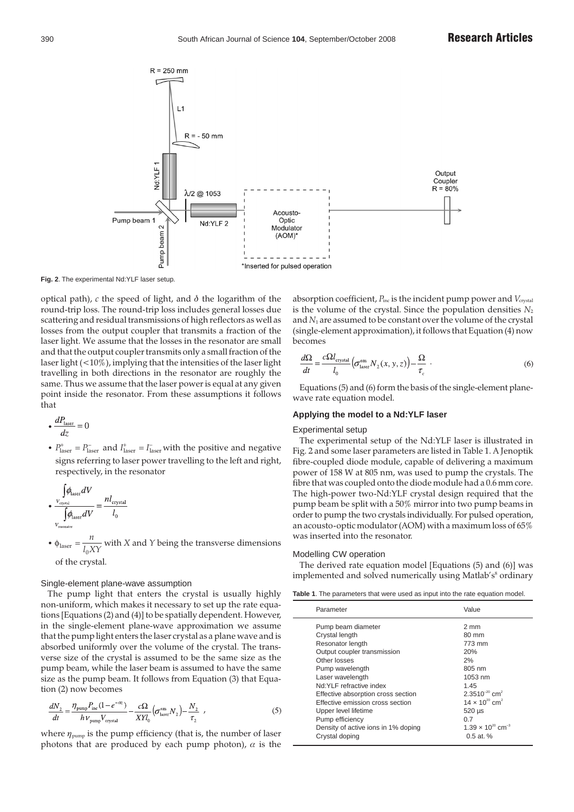

**Fig. 2**. The experimental Nd:YLF laser setup.

optical path),  $c$  the speed of light, and  $\delta$  the logarithm of the round-trip loss. The round-trip loss includes general losses due scattering and residual transmissions of high reflectors as well as losses from the output coupler that transmits a fraction of the laser light. We assume that the losses in the resonator are small and that the output coupler transmits only a small fraction of the laser light  $(<10\%)$ , implying that the intensities of the laser light travelling in both directions in the resonator are roughly the same. Thus we assume that the laser power is equal at any given point inside the resonator. From these assumptions it follows that

$$
\bullet \frac{dP_{\text{laser}}}{dz} = 0
$$

•  $P_{\text{laser}}^+ = P_{\text{laser}}^-$  and  $I_{\text{laser}}^+ = I_{\text{laser}}^-$  with the positive and negative signs referring to laser power travelling to the left and right, respectively, in the resonator

$$
\cdot \frac{\int\limits_{V_{\text{crystal}}} \rho_{\text{laser}} dV}{\int\limits_{V_{\text{resonator}}} \rho_{\text{laser}} dV} = \frac{n l_{\text{crystal}}}{l_0}
$$

•  $\phi_{\text{laser}} = \frac{n}{l_0 XY}$ with *X* and *Y* being the transverse dimensions of the crystal.

# Single-element plane-wave assumption

The pump light that enters the crystal is usually highly non-uniform, which makes it necessary to set up the rate equations [Equations (2) and (4)] to be spatially dependent. However, in the single-element plane-wave approximation we assume that the pump light enters the laser crystal as a plane wave and is absorbed uniformly over the volume of the crystal. The transverse size of the crystal is assumed to be the same size as the pump beam, while the laser beam is assumed to have the same size as the pump beam. It follows from Equation (3) that Equation (2) now becomes

$$
\frac{dN_2}{dt} = \frac{\eta_{\text{pump}} P_{\text{inc}} (1 - e^{-\alpha_2})}{h V_{\text{pump}} V_{\text{crystal}}} - \frac{c\Omega}{X Y l_0} \left(\sigma_{\text{laser}}^{\text{em}} N_2\right) - \frac{N_2}{\tau_2} \tag{5}
$$

where  $\eta_{\text{pump}}$  is the pump efficiency (that is, the number of laser photons that are produced by each pump photon),  $\alpha$  is the

absorption coefficient,  $P_{inc}$  is the incident pump power and  $V_{crystal}$ is the volume of the crystal. Since the population densities  $N_2$ and *N*<sub>1</sub> are assumed to be constant over the volume of the crystal (single-element approximation), it follows that Equation (4) now becomes

$$
\frac{d\Omega}{dt} = \frac{c\Omega l_{\text{crystal}}}{l_0} \left( \sigma_{\text{laser}}^{\text{em}} N_2(x, y, z) \right) - \frac{\Omega}{\tau_c} \tag{6}
$$

Equations (5) and (6) form the basis of the single-element planewave rate equation model.

# **Applying the model to a Nd:YLF laser**

### Experimental setup

The experimental setup of the Nd:YLF laser is illustrated in Fig. 2 and some laser parameters are listed in Table 1. A Jenoptik fibre-coupled diode module, capable of delivering a maximum power of 158 W at 805 nm, was used to pump the crystals. The fibre that was coupled onto the diode module had a 0.6 mm core. The high-power two-Nd:YLF crystal design required that the pump beam be split with a 50% mirror into two pump beams in order to pump the two crystals individually. For pulsed operation, an acousto-optic modulator (AOM) with a maximum loss of 65% was inserted into the resonator.

# Modelling CW operation

The derived rate equation model [Equations (5) and (6)] was implemented and solved numerically using Matlab's<sup>8</sup> ordinary

| <b>Table 1.</b> The parameters that were used as input into the rate equation model. |  |
|--------------------------------------------------------------------------------------|--|
|--------------------------------------------------------------------------------------|--|

| Parameter                                                                                                                                                                                                                                                                                                                                                 | Value                                                                                                                                                                                                                                         |
|-----------------------------------------------------------------------------------------------------------------------------------------------------------------------------------------------------------------------------------------------------------------------------------------------------------------------------------------------------------|-----------------------------------------------------------------------------------------------------------------------------------------------------------------------------------------------------------------------------------------------|
| Pump beam diameter<br>Crystal length<br>Resonator length<br>Output coupler transmission<br>Other losses<br>Pump wavelength<br>Laser wavelength<br>Nd: YI F refractive index<br>Effective absorption cross section<br>Effective emission cross section<br>Upper level lifetime<br>Pump efficiency<br>Density of active ions in 1% doping<br>Crystal doping | $2 \text{ mm}$<br>80 mm<br>773 mm<br>20%<br>2%<br>805 nm<br>1053 nm<br>1.45<br>$2.3510^{-20}$ cm <sup>2</sup><br>$14 \times 10^{20}$ cm <sup>2</sup><br>$520 \mu s$<br>0.7<br>1.39 $\times$ 10 <sup>20</sup> cm <sup>-3</sup><br>$0.5$ at $%$ |
|                                                                                                                                                                                                                                                                                                                                                           |                                                                                                                                                                                                                                               |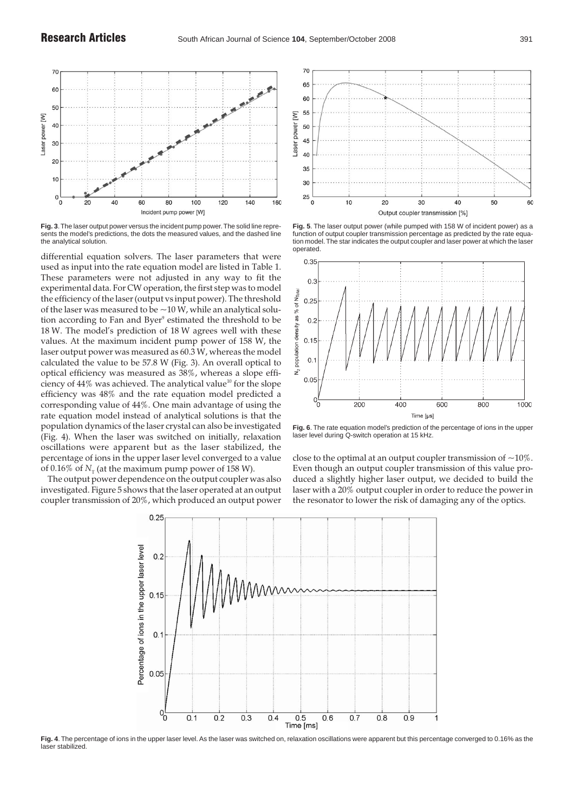

**Fig. 3**.The laser output power versus the incident pump power.The solid line represents the model's predictions, the dots the measured values, and the dashed line the analytical solution.

differential equation solvers. The laser parameters that were used as input into the rate equation model are listed in Table 1. These parameters were not adjusted in any way to fit the experimental data. For CW operation, the first step was to model the efficiency of the laser (output vs input power). The threshold of the laser was measured to be  $\sim$  10 W, while an analytical solution according to Fan and Byer<sup>9</sup> estimated the threshold to be 18 W. The model's prediction of 18 W agrees well with these values. At the maximum incident pump power of 158 W, the laser output power was measured as 60.3 W, whereas the model calculated the value to be 57.8 W (Fig. 3). An overall optical to optical efficiency was measured as 38%, whereas a slope efficiency of  $44\%$  was achieved. The analytical value<sup>10</sup> for the slope efficiency was 48% and the rate equation model predicted a corresponding value of 44%. One main advantage of using the rate equation model instead of analytical solutions is that the population dynamics of the laser crystal can also be investigated (Fig. 4). When the laser was switched on initially, relaxation oscillations were apparent but as the laser stabilized, the percentage of ions in the upper laser level converged to a value of 0.16% of  $N<sub>T</sub>$  (at the maximum pump power of 158 W).

The output power dependence on the output coupler was also investigated. Figure 5 shows that the laser operated at an output coupler transmission of 20%, which produced an output power



**Fig. 5**. The laser output power (while pumped with 158 W of incident power) as a function of output coupler transmission percentage as predicted by the rate equation model.The star indicates the output coupler and laser power at which the laser operated.



**Fig. 6**. The rate equation model's prediction of the percentage of ions in the upper laser level during Q-switch operation at 15 kHz.

close to the optimal at an output coupler transmission of  $\sim 10\%$ . Even though an output coupler transmission of this value produced a slightly higher laser output, we decided to build the laser with a 20% output coupler in order to reduce the power in the resonator to lower the risk of damaging any of the optics.



**Fig. 4**. The percentage of ions in the upper laser level. As the laser was switched on, relaxation oscillations were apparent but this percentage converged to 0.16% as the laser stabilized.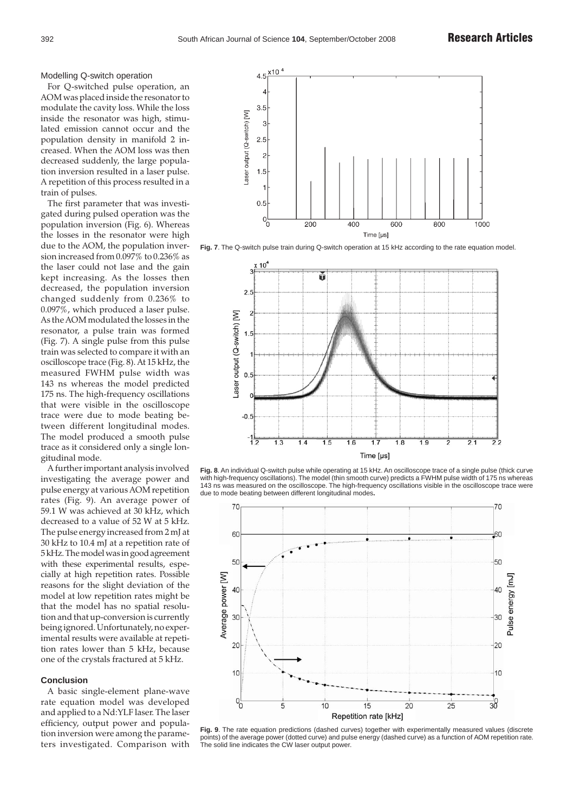## Modelling Q-switch operation

For Q-switched pulse operation, an AOM was placed inside the resonator to modulate the cavity loss. While the loss inside the resonator was high, stimulated emission cannot occur and the population density in manifold 2 increased. When the AOM loss was then decreased suddenly, the large population inversion resulted in a laser pulse. A repetition of this process resulted in a train of pulses.

The first parameter that was investigated during pulsed operation was the population inversion (Fig. 6). Whereas the losses in the resonator were high due to the AOM, the population inversion increased from 0.097% to 0.236% as the laser could not lase and the gain kept increasing. As the losses then decreased, the population inversion changed suddenly from 0.236% to 0.097%, which produced a laser pulse. As the AOM modulated the losses in the resonator, a pulse train was formed (Fig. 7). A single pulse from this pulse train was selected to compare it with an oscilloscope trace (Fig. 8). At 15 kHz, the measured FWHM pulse width was 143 ns whereas the model predicted 175 ns. The high-frequency oscillations that were visible in the oscilloscope trace were due to mode beating between different longitudinal modes. The model produced a smooth pulse trace as it considered only a single longitudinal mode.

A further important analysis involved investigating the average power and pulse energy at various AOM repetition rates (Fig. 9). An average power of 59.1 W was achieved at 30 kHz, which decreased to a value of 52 W at 5 kHz. The pulse energy increased from 2 mJ at 30 kHz to 10.4 mJ at a repetition rate of 5 kHz. The model was in good agreement with these experimental results, especially at high repetition rates. Possible reasons for the slight deviation of the model at low repetition rates might be that the model has no spatial resolution and that up-conversion is currently being ignored. Unfortunately, no experimental results were available at repetition rates lower than 5 kHz, because one of the crystals fractured at 5 kHz.

# **Conclusion**

A basic single-element plane-wave rate equation model was developed and applied to a Nd:YLF laser. The laser efficiency, output power and population inversion were among the parameters investigated. Comparison with







**Fig. 8**. An individual Q-switch pulse while operating at 15 kHz. An oscilloscope trace of a single pulse (thick curve with high-frequency oscillations). The model (thin smooth curve) predicts a FWHM pulse width of 175 ns whereas 143 ns was measured on the oscilloscope. The high-frequency oscillations visible in the oscilloscope trace were due to mode beating between different longitudinal modes**.**



Fig. 9. The rate equation predictions (dashed curves) together with experimentally measured values (discrete points) of the average power (dotted curve) and pulse energy (dashed curve) as a function of AOM repetition rate. The solid line indicates the CW laser output power.